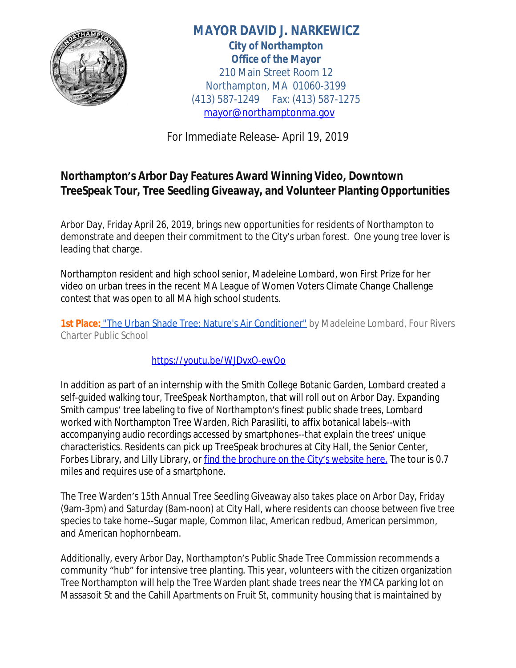

**MAYOR DAVID J. NARKEWICZ City of Northampton Office of the Mayor** 210 Main Street Room 12 Northampton, MA 01060-3199 (413) 587-1249 Fax: (413) 587-1275 [mayor@northamptonma.gov](mailto:mayor@northamptonma.gov)

*For Immediate Release- April 19, 2019*

## **Northampton's Arbor Day Features Award Winning Video, Downtown**  *TreeSpeak* **Tour, Tree Seedling Giveaway, and Volunteer Planting Opportunities**

Arbor Day, Friday April 26, 2019, brings new opportunities for residents of Northampton to demonstrate and deepen their commitment to the City's urban forest. One young tree lover is leading that charge.

Northampton resident and high school senior, Madeleine Lombard, won First Prize for her video on urban trees in the recent MA League of Women Voters Climate Change Challenge contest that was open to all MA high school students.

1st Place: ["The Urban Shade Tree: Nature's Air Conditioner"](https://www.youtube.com/watch?v=WJDvxO-ewQo&feature=youtu.be) by Madeleine Lombard, Four Rivers Charter Public School

<https://youtu.be/WJDvxO-ewQo>

In addition as part of an internship with the Smith College Botanic Garden, Lombard created a self-guided walking tour, *TreeSpeak Northampton*, that will roll out on Arbor Day. Expanding Smith campus' tree labeling to five of Northampton's finest public shade trees, Lombard worked with Northampton Tree Warden, Rich Parasiliti, to affix botanical labels--with accompanying audio recordings accessed by smartphones--that explain the trees' unique characteristics. Residents can pick up TreeSpeak brochures at City Hall, the Senior Center, Forbes Library, and Lilly Library, or [find the brochure on the City](http://northamptonma.gov/1880/TreeSpeak)'s website here. The tour is 0.7 [miles and requires use of a smartphone.](http://northamptonma.gov/1880/TreeSpeak)

The Tree Warden'[s 15th Annual Tree Seedling Giveaway also takes place on Arbor Day, Friday](http://northamptonma.gov/1880/TreeSpeak)  [\(9am-3pm\) and Saturday \(8am-noon\) at City Hall, where residents can choose between five tree](http://northamptonma.gov/1880/TreeSpeak) [species to take home--Sugar maple, Common lilac, American redbud, American persimmon,](http://northamptonma.gov/1880/TreeSpeak)  [and American hophornbeam.](http://northamptonma.gov/1880/TreeSpeak)

Additionally, every Arbor Day, Northampton'[s Public Shade Tree Commission recommends a](http://northamptonma.gov/1880/TreeSpeak)  community "hub" [for intensive tree planting. This year, volunteers with the citizen organization](http://northamptonma.gov/1880/TreeSpeak)  [Tree Northampton will help the Tree Warden plant shade trees near the YMCA parking lot on](http://northamptonma.gov/1880/TreeSpeak)  [Massasoit St and the Cahill Apartments on Fruit St, community housing that is maintained by](http://northamptonma.gov/1880/TreeSpeak)